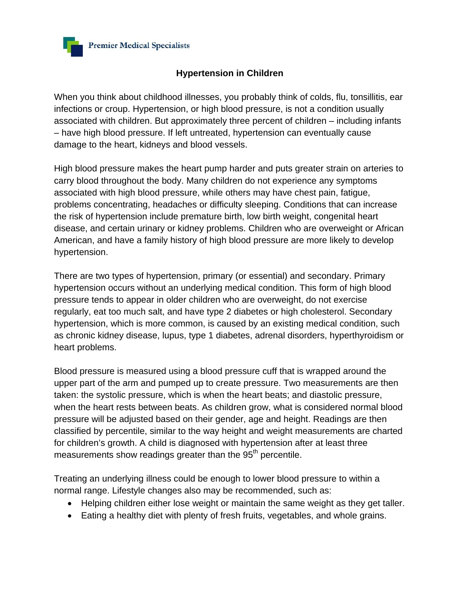

## **Hypertension in Children**

When you think about childhood illnesses, you probably think of colds, flu, tonsillitis, ear infections or croup. Hypertension, or high blood pressure, is not a condition usually associated with children. But approximately three percent of children – including infants – have high blood pressure. If left untreated, hypertension can eventually cause damage to the heart, kidneys and blood vessels.

High blood pressure makes the heart pump harder and puts greater strain on arteries to carry blood throughout the body. Many children do not experience any symptoms associated with high blood pressure, while others may have chest pain, fatigue, problems concentrating, headaches or difficulty sleeping. Conditions that can increase the risk of hypertension include premature birth, low birth weight, congenital heart disease, and certain urinary or kidney problems. Children who are overweight or African American, and have a family history of high blood pressure are more likely to develop hypertension.

There are two types of hypertension, primary (or essential) and secondary. Primary hypertension occurs without an underlying medical condition. This form of high blood pressure tends to appear in older children who are overweight, do not exercise regularly, eat too much salt, and have type 2 diabetes or high cholesterol. Secondary hypertension, which is more common, is caused by an existing medical condition, such as chronic kidney disease, lupus, type 1 diabetes, adrenal disorders, hyperthyroidism or heart problems.

Blood pressure is measured using a blood pressure cuff that is wrapped around the upper part of the arm and pumped up to create pressure. Two measurements are then taken: the systolic pressure, which is when the heart beats; and diastolic pressure, when the heart rests between beats. As children grow, what is considered normal blood pressure will be adjusted based on their gender, age and height. Readings are then classified by percentile, similar to the way height and weight measurements are charted for children's growth. A child is diagnosed with hypertension after at least three measurements show readings greater than the 95<sup>th</sup> percentile.

Treating an underlying illness could be enough to lower blood pressure to within a normal range. Lifestyle changes also may be recommended, such as:

- Helping children either lose weight or maintain the same weight as they get taller.
- Eating a healthy diet with plenty of fresh fruits, vegetables, and whole grains.